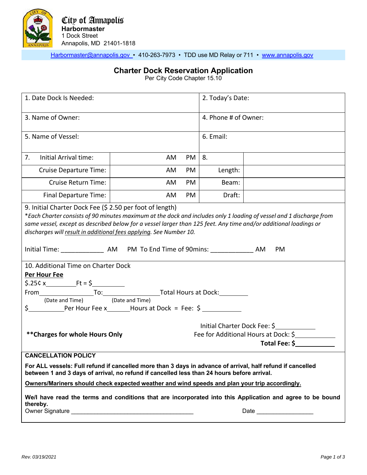

Harbormaster@annapolis.gov • 410-263-7973 • TDD use MD Relay or 711 • www.annapolis.gov

## **Charter Dock Reservation Application**

Per City Code Chapter 15.10

| 1. Date Dock Is Needed:                                                                                                                                                                                                                                                                                                                                                                |    |    | 2. Today's Date:                                                                      |  |  |
|----------------------------------------------------------------------------------------------------------------------------------------------------------------------------------------------------------------------------------------------------------------------------------------------------------------------------------------------------------------------------------------|----|----|---------------------------------------------------------------------------------------|--|--|
| 3. Name of Owner:                                                                                                                                                                                                                                                                                                                                                                      |    |    | 4. Phone # of Owner:                                                                  |  |  |
| 5. Name of Vessel:                                                                                                                                                                                                                                                                                                                                                                     |    |    | 6. Email:                                                                             |  |  |
| Initial Arrival time:<br>7.                                                                                                                                                                                                                                                                                                                                                            | AM | PM | 8.                                                                                    |  |  |
| Cruise Departure Time:                                                                                                                                                                                                                                                                                                                                                                 | AM | PM | Length:                                                                               |  |  |
| Cruise Return Time:                                                                                                                                                                                                                                                                                                                                                                    | AM | PM | Beam:                                                                                 |  |  |
| Final Departure Time:                                                                                                                                                                                                                                                                                                                                                                  | AM | PM | Draft:                                                                                |  |  |
| 9. Initial Charter Dock Fee (\$ 2.50 per foot of length)<br>*Each Charter consists of 90 minutes maximum at the dock and includes only 1 loading of vessel and 1 discharge from<br>same vessel, except as described below for a vessel larger than 125 feet. Any time and/or additional loadings or<br>discharges will result in additional fees applying. See Number 10.<br><b>PM</b> |    |    |                                                                                       |  |  |
| 10. Additional Time on Charter Dock                                                                                                                                                                                                                                                                                                                                                    |    |    |                                                                                       |  |  |
| Per Hour Fee                                                                                                                                                                                                                                                                                                                                                                           |    |    |                                                                                       |  |  |
| From To: To: To: To: To: Total Hours at Dock:                                                                                                                                                                                                                                                                                                                                          |    |    |                                                                                       |  |  |
| (Date and Time) (Date and Time)                                                                                                                                                                                                                                                                                                                                                        |    |    |                                                                                       |  |  |
| \$ Per Hour Fee x Hours at Dock = Fee: \$                                                                                                                                                                                                                                                                                                                                              |    |    |                                                                                       |  |  |
| ** Charges for whole Hours Only                                                                                                                                                                                                                                                                                                                                                        |    |    | Initial Charter Dock Fee: \$<br>Fee for Additional Hours at Dock: \$<br>Total Fee: \$ |  |  |
| <b>CANCELLATION POLICY</b>                                                                                                                                                                                                                                                                                                                                                             |    |    |                                                                                       |  |  |
| For ALL vessels: Full refund if cancelled more than 3 days in advance of arrival, half refund if cancelled<br>between 1 and 3 days of arrival, no refund if cancelled less than 24 hours before arrival.                                                                                                                                                                               |    |    |                                                                                       |  |  |
| Owners/Mariners should check expected weather and wind speeds and plan your trip accordingly.                                                                                                                                                                                                                                                                                          |    |    |                                                                                       |  |  |
| We/I have read the terms and conditions that are incorporated into this Application and agree to be bound<br>thereby.                                                                                                                                                                                                                                                                  |    |    |                                                                                       |  |  |
|                                                                                                                                                                                                                                                                                                                                                                                        |    |    | Date                                                                                  |  |  |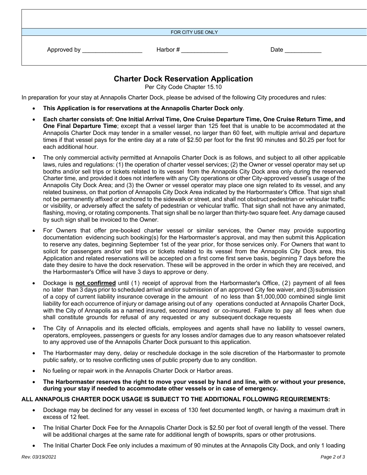| Approved by<br>the control of the control of | FOR CITY USE ONLY<br>Harbor # | Date |
|----------------------------------------------|-------------------------------|------|
|                                              |                               |      |

## **Charter Dock Reservation Application**

Per City Code Chapter 15.10

In preparation for your stay at Annapolis Charter Dock, please be advised of the following City procedures and rules:

- **This Application is for reservations at the Annapolis Charter Dock only**.
- **Each charter consists of: One Initial Arrival Time, One Cruise Departure Time, One Cruise Return Time, and One Final Departure Time**; except that a vessel larger than 125 feet that is unable to be accommodated at the Annapolis Charter Dock may tender in a smaller vessel, no larger than 60 feet, with multiple arrival and departure times if that vessel pays for the entire day at a rate of \$2.50 per foot for the first 90 minutes and \$0.25 per foot for each additional hour.
- The only commercial activity permitted at Annapolis Charter Dock is as follows, and subject to all other applicable laws, rules and regulations: (1) the operation of charter vessel services; (2) the Owner or vessel operator may set up booths and/or sell trips or tickets related to its vessel from the Annapolis City Dock area only during the reserved Charter time, and provided it does not interfere with any City operations or other City-approved vessel's usage of the Annapolis City Dock Area; and (3) the Owner or vessel operator may place one sign related to its vessel, and any related business, on that portion of Annapolis City Dock Area indicated by the Harbormaster's Office. That sign shall not be permanently affixed or anchored to the sidewalk or street, and shall not obstruct pedestrian or vehicular traffic or visibility, or adversely affect the safety of pedestrian or vehicular traffic. That sign shall not have any animated, flashing, moving, or rotating components. That sign shall be no larger than thirty-two square feet. Any damage caused by such sign shall be invoiced to the Owner.
- For Owners that offer pre-booked charter vessel or similar services, the Owner may provide supporting documentation evidencing such booking(s) for the Harbormaster's approval, and may then submit this Application to reserve any dates, beginning September 1st of the year prior, for those services only. For Owners that want to solicit for passengers and/or sell trips or tickets related to its vessel from the Annapolis City Dock area, this Application and related reservations will be accepted on a first come first serve basis, beginning 7 days before the date they desire to have the dock reservation. These will be approved in the order in which they are received, and the Harbormaster's Office will have 3 days to approve or deny.
- Dockage is **not confirmed** until (1) receipt of approval from the Harbormaster's Office, (2) payment of all fees no later than 3 days prior to scheduled arrival and/or submission of an approved City fee waiver, and (3) submission of a copy of current liability insurance coverage in the amount of no less than \$1,000,000 combined single limit liability for each occurrence of injury or damage arising out of any operations conducted at Annapolis Charter Dock, with the City of Annapolis as a named insured, second insured or co-insured. Failure to pay all fees when due shall constitute grounds for refusal of any requested or any subsequent dockage requests
- The City of Annapolis and its elected officials, employees and agents shall have no liability to vessel owners, operators, employees, passengers or guests for any losses and/or damages due to any reason whatsoever related to any approved use of the Annapolis Charter Dock pursuant to this application.
- The Harbormaster may deny, delay or reschedule dockage in the sole discretion of the Harbormaster to promote public safety, or to resolve conflicting uses of public property due to any condition.
- No fueling or repair work in the Annapolis Charter Dock or Harbor areas.
- **The Harbormaster reserves the right to move your vessel by hand and line, with or without your presence, during your stay if needed to accommodate other vessels or in case of emergency.**

## **ALL ANNAPOLIS CHARTER DOCK USAGE IS SUBJECT TO THE ADDITIONAL FOLLOWING REQUIREMENTS:**

- Dockage may be declined for any vessel in excess of 130 feet documented length, or having a maximum draft in excess of 12 feet.
- The Initial Charter Dock Fee for the Annapolis Charter Dock is \$2.50 per foot of overall length of the vessel. There will be additional charges at the same rate for additional length of bowsprits, spars or other protrusions.
- The Initial Charter Dock Fee only includes a maximum of 90 minutes at the Annapolis City Dock, and only 1 loading